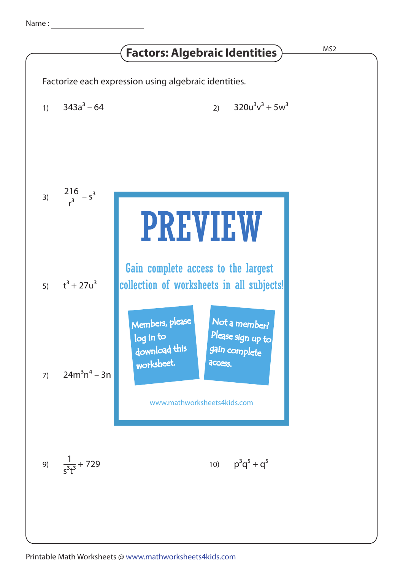